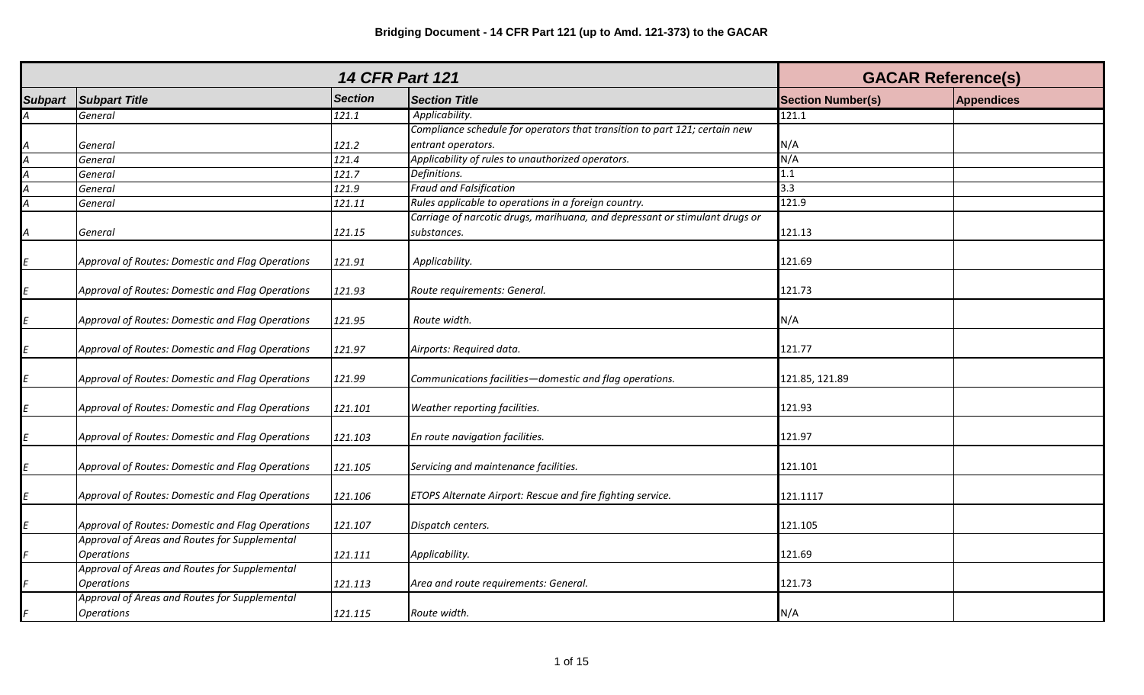|                             |                                                  | <b>GACAR Reference(s)</b> |                                                                             |                          |                   |
|-----------------------------|--------------------------------------------------|---------------------------|-----------------------------------------------------------------------------|--------------------------|-------------------|
| <b>Subpart</b>              | <b>Subpart Title</b>                             | <b>Section</b>            | <b>Section Title</b>                                                        | <b>Section Number(s)</b> | <b>Appendices</b> |
| A                           | General                                          | 121.1                     | Applicability.                                                              | 121.1                    |                   |
|                             |                                                  |                           | Compliance schedule for operators that transition to part 121; certain new  |                          |                   |
|                             | General                                          | 121.2                     | entrant operators.                                                          | N/A                      |                   |
| $\frac{A}{A}$ $\frac{A}{A}$ | General                                          | 121.4                     | Applicability of rules to unauthorized operators.                           | N/A                      |                   |
|                             | General                                          | 121.7                     | Definitions.                                                                | 1.1                      |                   |
|                             | General                                          | 121.9                     | <b>Fraud and Falsification</b>                                              | 3.3                      |                   |
|                             | General                                          | 121.11                    | Rules applicable to operations in a foreign country.                        | 121.9                    |                   |
|                             |                                                  |                           | Carriage of narcotic drugs, marihuana, and depressant or stimulant drugs or |                          |                   |
| $\overline{A}$              | General                                          | 121.15                    | substances.                                                                 | 121.13                   |                   |
| E                           | Approval of Routes: Domestic and Flag Operations | 121.91                    | Applicability.                                                              | 121.69                   |                   |
| E                           | Approval of Routes: Domestic and Flag Operations | 121.93                    | Route requirements: General.                                                | 121.73                   |                   |
| $\mathbf{E}$                | Approval of Routes: Domestic and Flag Operations | 121.95                    | Route width.                                                                | N/A                      |                   |
| E                           | Approval of Routes: Domestic and Flag Operations | 121.97                    | Airports: Required data.                                                    | 121.77                   |                   |
| E                           | Approval of Routes: Domestic and Flag Operations | 121.99                    | Communications facilities-domestic and flag operations.                     | 121.85, 121.89           |                   |
| $\mathbf{E}$                | Approval of Routes: Domestic and Flag Operations | 121.101                   | Weather reporting facilities.                                               | 121.93                   |                   |
| E                           | Approval of Routes: Domestic and Flag Operations | 121.103                   | En route navigation facilities.                                             | 121.97                   |                   |
| $\sqrt{E}$                  | Approval of Routes: Domestic and Flag Operations | 121.105                   | Servicing and maintenance facilities.                                       | 121.101                  |                   |
| $\sqrt{E}$                  | Approval of Routes: Domestic and Flag Operations | 121.106                   | ETOPS Alternate Airport: Rescue and fire fighting service.                  | 121.1117                 |                   |
|                             | Approval of Routes: Domestic and Flag Operations | 121.107                   | Dispatch centers.                                                           | 121.105                  |                   |
|                             | Approval of Areas and Routes for Supplemental    |                           |                                                                             |                          |                   |
|                             | <b>Operations</b>                                | 121.111                   | Applicability.                                                              | 121.69                   |                   |
|                             | Approval of Areas and Routes for Supplemental    |                           |                                                                             |                          |                   |
|                             | <b>Operations</b>                                | 121.113                   | Area and route requirements: General.                                       | 121.73                   |                   |
|                             | Approval of Areas and Routes for Supplemental    |                           |                                                                             |                          |                   |
| F                           | <b>Operations</b>                                | 121.115                   | Route width.                                                                | N/A                      |                   |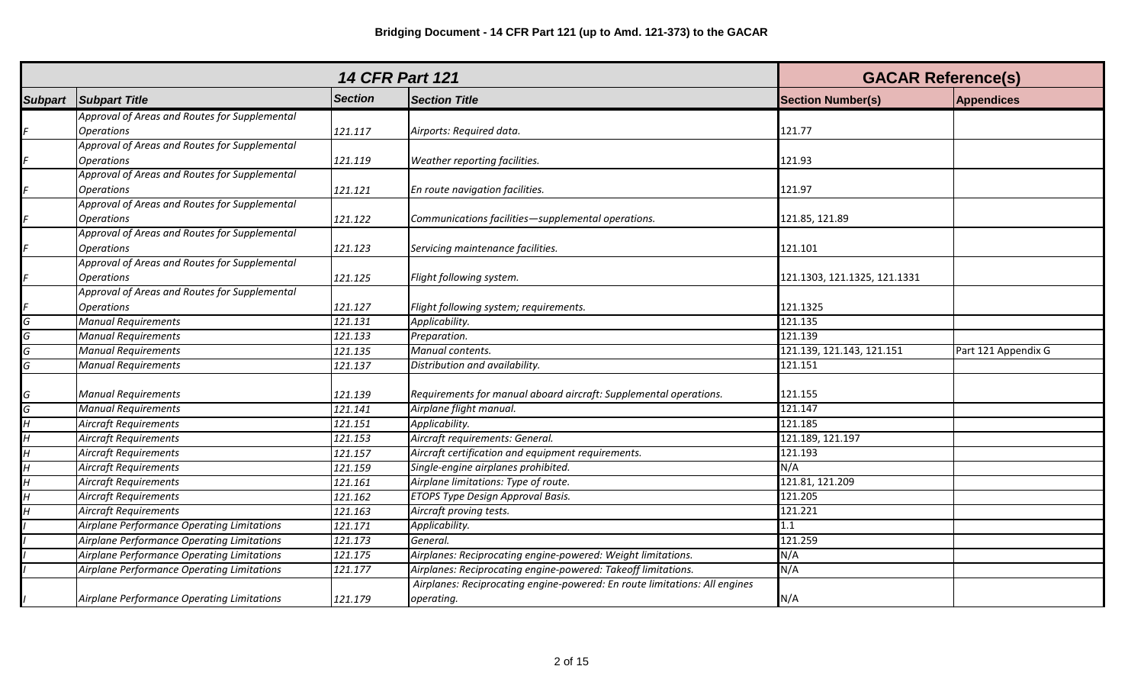|                           |                                               |                | <b>14 CFR Part 121</b>                                                     | <b>GACAR Reference(s)</b>    |                     |
|---------------------------|-----------------------------------------------|----------------|----------------------------------------------------------------------------|------------------------------|---------------------|
| <b>Subpart</b>            | <b>Subpart Title</b>                          | <b>Section</b> | <b>Section Title</b>                                                       | <b>Section Number(s)</b>     | <b>Appendices</b>   |
|                           | Approval of Areas and Routes for Supplemental |                |                                                                            |                              |                     |
| F                         | <b>Operations</b>                             | 121.117        | Airports: Required data.                                                   | 121.77                       |                     |
|                           | Approval of Areas and Routes for Supplemental |                |                                                                            |                              |                     |
| F                         | <b>Operations</b>                             | 121.119        | Weather reporting facilities.                                              | 121.93                       |                     |
|                           | Approval of Areas and Routes for Supplemental |                |                                                                            |                              |                     |
| F                         | <b>Operations</b>                             | 121.121        | En route navigation facilities.                                            | 121.97                       |                     |
|                           | Approval of Areas and Routes for Supplemental |                |                                                                            |                              |                     |
| F                         | <b>Operations</b>                             | 121.122        | Communications facilities-supplemental operations.                         | 121.85, 121.89               |                     |
|                           | Approval of Areas and Routes for Supplemental |                |                                                                            |                              |                     |
| F                         | <b>Operations</b>                             | 121.123        | Servicing maintenance facilities.                                          | 121.101                      |                     |
|                           | Approval of Areas and Routes for Supplemental |                |                                                                            |                              |                     |
| F                         | <b>Operations</b>                             | 121.125        | Flight following system.                                                   | 121.1303, 121.1325, 121.1331 |                     |
|                           | Approval of Areas and Routes for Supplemental |                |                                                                            |                              |                     |
| F                         | <b>Operations</b>                             | 121.127        | Flight following system; requirements.                                     | 121.1325                     |                     |
| G                         | <b>Manual Requirements</b>                    | 121.131        | Applicability.                                                             | 121.135                      |                     |
| $\overline{G}$            | <b>Manual Requirements</b>                    | 121.133        | Preparation.                                                               | 121.139                      |                     |
| G                         | <b>Manual Requirements</b>                    | 121.135        | Manual contents.                                                           | 121.139, 121.143, 121.151    | Part 121 Appendix G |
| G                         | <b>Manual Requirements</b>                    | 121.137        | Distribution and availability.                                             | 121.151                      |                     |
|                           |                                               |                |                                                                            |                              |                     |
| G                         | <b>Manual Requirements</b>                    | 121.139        | Requirements for manual aboard aircraft: Supplemental operations.          | 121.155                      |                     |
| $\overline{G}$            | <b>Manual Requirements</b>                    | 121.141        | Airplane flight manual.                                                    | 121.147                      |                     |
| $\overline{H}$            | <b>Aircraft Requirements</b>                  | 121.151        | Applicability.                                                             | 121.185                      |                     |
| $\overline{H}$            | <b>Aircraft Requirements</b>                  | 121.153        | Aircraft requirements: General.                                            | 121.189, 121.197             |                     |
| $\overline{H}$            | <b>Aircraft Requirements</b>                  | 121.157        | Aircraft certification and equipment requirements.                         | 121.193                      |                     |
| $\overline{H}$            | <b>Aircraft Requirements</b>                  | 121.159        | Single-engine airplanes prohibited.                                        | N/A                          |                     |
| $\overline{\overline{H}}$ | <b>Aircraft Requirements</b>                  | 121.161        | Airplane limitations: Type of route.                                       | 121.81, 121.209              |                     |
| $\overline{H}$            | <b>Aircraft Requirements</b>                  | 121.162        | ETOPS Type Design Approval Basis.                                          | 121.205                      |                     |
| $\overline{H}$            | <b>Aircraft Requirements</b>                  | 121.163        | Aircraft proving tests.                                                    | 121.221                      |                     |
|                           | Airplane Performance Operating Limitations    | 121.171        | Applicability.                                                             | 1.1                          |                     |
|                           | Airplane Performance Operating Limitations    | 121.173        | General.                                                                   | 121.259                      |                     |
|                           | Airplane Performance Operating Limitations    | 121.175        | Airplanes: Reciprocating engine-powered: Weight limitations.               | N/A                          |                     |
|                           | Airplane Performance Operating Limitations    | 121.177        | Airplanes: Reciprocating engine-powered: Takeoff limitations.              | N/A                          |                     |
|                           |                                               |                | Airplanes: Reciprocating engine-powered: En route limitations: All engines |                              |                     |
|                           | Airplane Performance Operating Limitations    | 121.179        | operating.                                                                 | N/A                          |                     |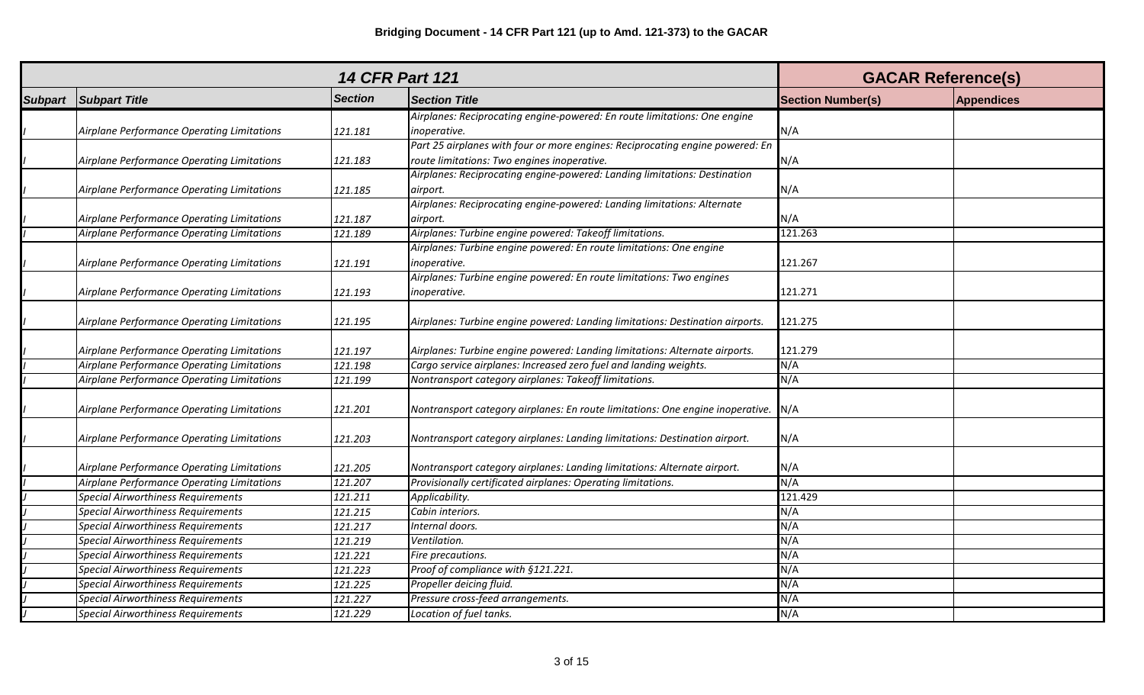|                                            | <b>GACAR Reference(s)</b> |                                                                                |                          |                   |
|--------------------------------------------|---------------------------|--------------------------------------------------------------------------------|--------------------------|-------------------|
| <b>Subpart Subpart Title</b>               | <b>Section</b>            | <b>Section Title</b>                                                           | <b>Section Number(s)</b> | <b>Appendices</b> |
|                                            |                           | Airplanes: Reciprocating engine-powered: En route limitations: One engine      |                          |                   |
| Airplane Performance Operating Limitations | 121.181                   | inoperative.                                                                   | N/A                      |                   |
|                                            |                           | Part 25 airplanes with four or more engines: Reciprocating engine powered: En  |                          |                   |
| Airplane Performance Operating Limitations | 121.183                   | route limitations: Two engines inoperative.                                    | N/A                      |                   |
|                                            |                           | Airplanes: Reciprocating engine-powered: Landing limitations: Destination      |                          |                   |
| Airplane Performance Operating Limitations | 121.185                   | airport.                                                                       | N/A                      |                   |
|                                            |                           | Airplanes: Reciprocating engine-powered: Landing limitations: Alternate        |                          |                   |
| Airplane Performance Operating Limitations | 121.187                   | airport.                                                                       | N/A                      |                   |
| Airplane Performance Operating Limitations | 121.189                   | Airplanes: Turbine engine powered: Takeoff limitations.                        | 121.263                  |                   |
|                                            |                           | Airplanes: Turbine engine powered: En route limitations: One engine            |                          |                   |
| Airplane Performance Operating Limitations | 121.191                   | inoperative.                                                                   | 121.267                  |                   |
|                                            |                           | Airplanes: Turbine engine powered: En route limitations: Two engines           |                          |                   |
| Airplane Performance Operating Limitations | 121.193                   | inoperative.                                                                   | 121.271                  |                   |
|                                            |                           |                                                                                |                          |                   |
| Airplane Performance Operating Limitations | 121.195                   | Airplanes: Turbine engine powered: Landing limitations: Destination airports.  | 121.275                  |                   |
|                                            |                           |                                                                                |                          |                   |
| Airplane Performance Operating Limitations | 121.197                   | Airplanes: Turbine engine powered: Landing limitations: Alternate airports.    | 121.279                  |                   |
| Airplane Performance Operating Limitations | 121.198                   | Cargo service airplanes: Increased zero fuel and landing weights.              | N/A                      |                   |
| Airplane Performance Operating Limitations | 121.199                   | Nontransport category airplanes: Takeoff limitations.                          | N/A                      |                   |
| Airplane Performance Operating Limitations | 121.201                   | Nontransport category airplanes: En route limitations: One engine inoperative. | N/A                      |                   |
|                                            |                           |                                                                                |                          |                   |
| Airplane Performance Operating Limitations | 121.203                   | Nontransport category airplanes: Landing limitations: Destination airport.     | N/A                      |                   |
| Airplane Performance Operating Limitations | 121.205                   | Nontransport category airplanes: Landing limitations: Alternate airport.       | N/A                      |                   |
| Airplane Performance Operating Limitations | 121.207                   | Provisionally certificated airplanes: Operating limitations.                   | N/A                      |                   |
| <b>Special Airworthiness Requirements</b>  | 121.211                   | Applicability.                                                                 | 121.429                  |                   |
| Special Airworthiness Requirements         | 121.215                   | Cabin interiors.                                                               | N/A                      |                   |
| Special Airworthiness Requirements         | 121.217                   | Internal doors.                                                                | N/A                      |                   |
| Special Airworthiness Requirements         | 121.219                   | Ventilation.                                                                   | N/A                      |                   |
| <b>Special Airworthiness Requirements</b>  | 121.221                   | Fire precautions.                                                              | N/A                      |                   |
| <b>Special Airworthiness Requirements</b>  | 121.223                   | Proof of compliance with §121.221.                                             | N/A                      |                   |
| <b>Special Airworthiness Requirements</b>  | 121.225                   | Propeller deicing fluid.                                                       | N/A                      |                   |
| <b>Special Airworthiness Requirements</b>  | 121.227                   | Pressure cross-feed arrangements.                                              | N/A                      |                   |
| <b>Special Airworthiness Requirements</b>  | 121.229                   | Location of fuel tanks.                                                        | N/A                      |                   |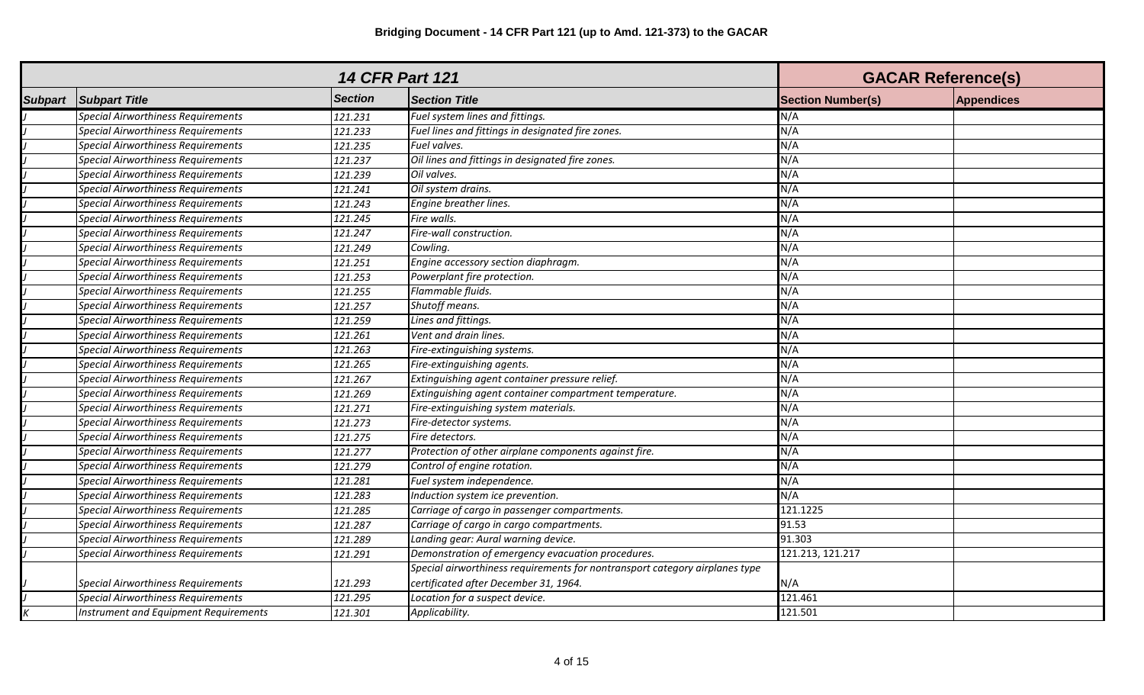| <b>14 CFR Part 121</b> |                                           |                       |                                                                             | <b>GACAR Reference(s)</b> |                   |
|------------------------|-------------------------------------------|-----------------------|-----------------------------------------------------------------------------|---------------------------|-------------------|
| <b>Subpart</b>         | <b>Subpart Title</b>                      | <b>Section</b>        | <b>Section Title</b>                                                        | <b>Section Number(s)</b>  | <b>Appendices</b> |
|                        | <b>Special Airworthiness Requirements</b> | 121.231               | Fuel system lines and fittings.                                             | N/A                       |                   |
|                        | <b>Special Airworthiness Requirements</b> | 121.233               | Fuel lines and fittings in designated fire zones.                           | N/A                       |                   |
|                        | <b>Special Airworthiness Requirements</b> | 121.235               | Fuel valves.                                                                | N/A                       |                   |
|                        | Special Airworthiness Requirements        | 121.237               | Oil lines and fittings in designated fire zones.                            | N/A                       |                   |
|                        | <b>Special Airworthiness Requirements</b> | 121.239               | Oil valves.                                                                 | N/A                       |                   |
|                        | <b>Special Airworthiness Requirements</b> | 121.241               | Oil system drains.                                                          | N/A                       |                   |
|                        | <b>Special Airworthiness Requirements</b> | 121.243               | Engine breather lines.                                                      | N/A                       |                   |
|                        | <b>Special Airworthiness Requirements</b> | 121.245               | Fire walls.                                                                 | N/A                       |                   |
|                        | <b>Special Airworthiness Requirements</b> | 121.247               | Fire-wall construction.                                                     | N/A                       |                   |
|                        | <b>Special Airworthiness Requirements</b> | 121.249               | Cowling.                                                                    | N/A                       |                   |
|                        | <b>Special Airworthiness Requirements</b> | 121.251               | Engine accessory section diaphragm.                                         | N/A                       |                   |
|                        | <b>Special Airworthiness Requirements</b> | 121.253               | Powerplant fire protection.                                                 | N/A                       |                   |
|                        | <b>Special Airworthiness Requirements</b> | 121.255               | Flammable fluids.                                                           | N/A                       |                   |
|                        | <b>Special Airworthiness Requirements</b> | 121.257               | Shutoff means.                                                              | N/A                       |                   |
|                        | <b>Special Airworthiness Requirements</b> | 121.259               | Lines and fittings.                                                         | N/A                       |                   |
|                        | <b>Special Airworthiness Requirements</b> | 121.261               | Vent and drain lines.                                                       | N/A                       |                   |
|                        | <b>Special Airworthiness Requirements</b> | $\overline{1}$ 21.263 | Fire-extinguishing systems.                                                 | N/A                       |                   |
|                        | <b>Special Airworthiness Requirements</b> | 121.265               | Fire-extinguishing agents.                                                  | N/A                       |                   |
|                        | <b>Special Airworthiness Requirements</b> | 121.267               | Extinguishing agent container pressure relief.                              | N/A                       |                   |
|                        | <b>Special Airworthiness Requirements</b> | 121.269               | Extinguishing agent container compartment temperature.                      | N/A                       |                   |
|                        | <b>Special Airworthiness Requirements</b> | 121.271               | Fire-extinguishing system materials.                                        | N/A                       |                   |
|                        | <b>Special Airworthiness Requirements</b> | 121.273               | Fire-detector systems.                                                      | N/A                       |                   |
|                        | Special Airworthiness Requirements        | 121.275               | Fire detectors.                                                             | N/A                       |                   |
|                        | <b>Special Airworthiness Requirements</b> | 121.277               | Protection of other airplane components against fire.                       | N/A                       |                   |
|                        | <b>Special Airworthiness Requirements</b> | 121.279               | Control of engine rotation.                                                 | N/A                       |                   |
|                        | <b>Special Airworthiness Requirements</b> | 121.281               | Fuel system independence.                                                   | N/A                       |                   |
|                        | <b>Special Airworthiness Requirements</b> | 121.283               | Induction system ice prevention.                                            | N/A                       |                   |
|                        | <b>Special Airworthiness Requirements</b> | 121.285               | Carriage of cargo in passenger compartments.                                | 121.1225                  |                   |
|                        | <b>Special Airworthiness Requirements</b> | 121.287               | Carriage of cargo in cargo compartments.                                    | 91.53                     |                   |
|                        | <b>Special Airworthiness Requirements</b> | 121.289               | Landing gear: Aural warning device.                                         | 91.303                    |                   |
|                        | <b>Special Airworthiness Requirements</b> | 121.291               | Demonstration of emergency evacuation procedures.                           | 121.213, 121.217          |                   |
|                        |                                           |                       | Special airworthiness requirements for nontransport category airplanes type |                           |                   |
|                        | <b>Special Airworthiness Requirements</b> | 121.293               | certificated after December 31, 1964.                                       | N/A                       |                   |
|                        | <b>Special Airworthiness Requirements</b> | 121.295               | Location for a suspect device.                                              | 121.461                   |                   |
|                        | Instrument and Equipment Requirements     | 121.301               | Applicability.                                                              | 121.501                   |                   |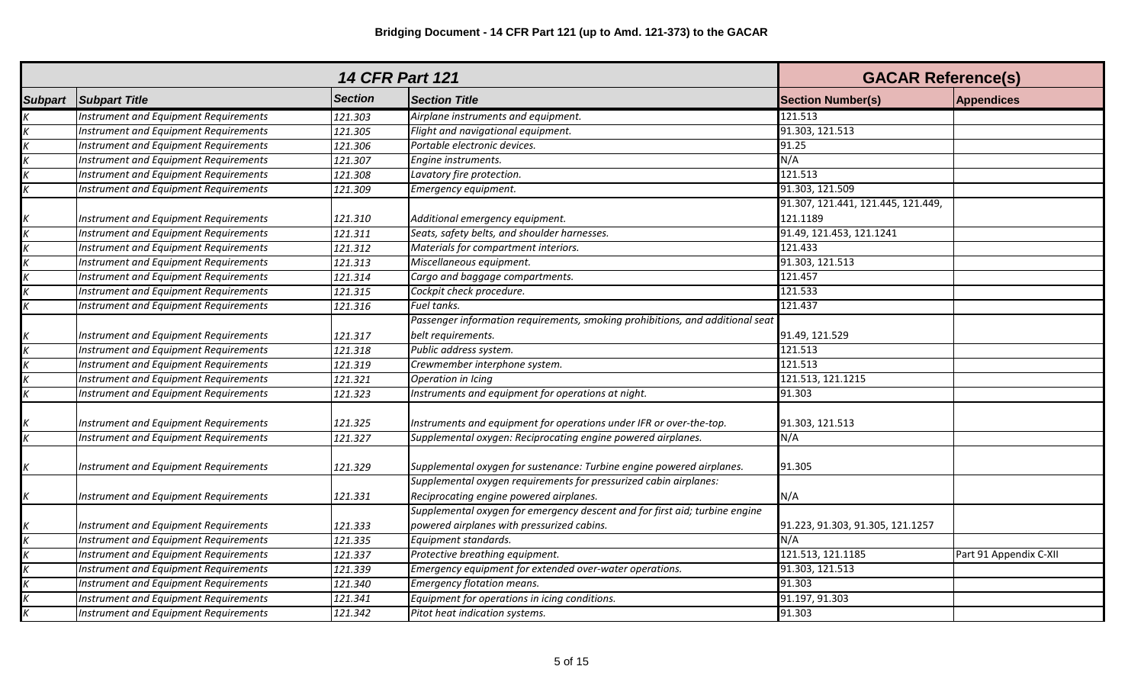|                |                                              |                | <b>14 CFR Part 121</b>                                                        | <b>GACAR Reference(s)</b>          |                        |
|----------------|----------------------------------------------|----------------|-------------------------------------------------------------------------------|------------------------------------|------------------------|
| <b>Subpart</b> | <b>Subpart Title</b>                         | <b>Section</b> | <b>Section Title</b>                                                          | <b>Section Number(s)</b>           | <b>Appendices</b>      |
|                | Instrument and Equipment Requirements        | 121.303        | Airplane instruments and equipment.                                           | 121.513                            |                        |
| Κ              | Instrument and Equipment Requirements        | 121.305        | Flight and navigational equipment.                                            | 91.303, 121.513                    |                        |
|                | Instrument and Equipment Requirements        | 121.306        | Portable electronic devices.                                                  | 91.25                              |                        |
|                | Instrument and Equipment Requirements        | 121.307        | Engine instruments.                                                           | N/A                                |                        |
|                | Instrument and Equipment Requirements        | 121.308        | Lavatory fire protection.                                                     | 121.513                            |                        |
|                | Instrument and Equipment Requirements        | 121.309        | Emergency equipment.                                                          | 91.303, 121.509                    |                        |
|                |                                              |                |                                                                               | 91.307, 121.441, 121.445, 121.449, |                        |
|                | Instrument and Equipment Requirements        | 121.310        | Additional emergency equipment.                                               | 121.1189                           |                        |
|                | Instrument and Equipment Requirements        | 121.311        | Seats, safety belts, and shoulder harnesses.                                  | 91.49, 121.453, 121.1241           |                        |
|                | <b>Instrument and Equipment Requirements</b> | 121.312        | Materials for compartment interiors.                                          | 121.433                            |                        |
|                | Instrument and Equipment Requirements        | 121.313        | Miscellaneous equipment.                                                      | 91.303, 121.513                    |                        |
|                | Instrument and Equipment Requirements        | 121.314        | Cargo and baggage compartments.                                               | 121.457                            |                        |
|                | Instrument and Equipment Requirements        | 121.315        | Cockpit check procedure.                                                      | 121.533                            |                        |
|                | Instrument and Equipment Requirements        | 121.316        | Fuel tanks.                                                                   | 121.437                            |                        |
|                |                                              |                | Passenger information requirements, smoking prohibitions, and additional seat |                                    |                        |
|                | Instrument and Equipment Requirements        | 121.317        | belt requirements.                                                            | 91.49, 121.529                     |                        |
|                | Instrument and Equipment Requirements        | 121.318        | Public address system.                                                        | 121.513                            |                        |
|                | Instrument and Equipment Requirements        | 121.319        | Crewmember interphone system.                                                 | 121.513                            |                        |
|                | Instrument and Equipment Requirements        | 121.321        | Operation in Icing                                                            | 121.513, 121.1215                  |                        |
|                | Instrument and Equipment Requirements        | 121.323        | Instruments and equipment for operations at night.                            | 91.303                             |                        |
|                | Instrument and Equipment Requirements        | 121.325        | Instruments and equipment for operations under IFR or over-the-top.           | 91.303, 121.513                    |                        |
| K              | Instrument and Equipment Requirements        | 121.327        | Supplemental oxygen: Reciprocating engine powered airplanes.                  | N/A                                |                        |
| Κ              | Instrument and Equipment Requirements        | 121.329        | Supplemental oxygen for sustenance: Turbine engine powered airplanes.         | 91.305                             |                        |
|                |                                              |                | Supplemental oxygen requirements for pressurized cabin airplanes:             |                                    |                        |
| K              | Instrument and Equipment Requirements        | 121.331        | Reciprocating engine powered airplanes.                                       | N/A                                |                        |
|                |                                              |                | Supplemental oxygen for emergency descent and for first aid; turbine engine   |                                    |                        |
|                | Instrument and Equipment Requirements        | 121.333        | powered airplanes with pressurized cabins.                                    | 91.223, 91.303, 91.305, 121.1257   |                        |
|                | Instrument and Equipment Requirements        | 121.335        | Equipment standards.                                                          | N/A                                |                        |
|                | Instrument and Equipment Requirements        | 121.337        | Protective breathing equipment.                                               | 121.513, 121.1185                  | Part 91 Appendix C-XII |
|                | Instrument and Equipment Requirements        | 121.339        | Emergency equipment for extended over-water operations.                       | 91.303, 121.513                    |                        |
|                | Instrument and Equipment Requirements        | 121.340        | <b>Emergency flotation means.</b>                                             | 91.303                             |                        |
|                | Instrument and Equipment Requirements        | 121.341        | Equipment for operations in icing conditions.                                 | 91.197, 91.303                     |                        |
|                | Instrument and Equipment Requirements        | 121.342        | Pitot heat indication systems.                                                | 91.303                             |                        |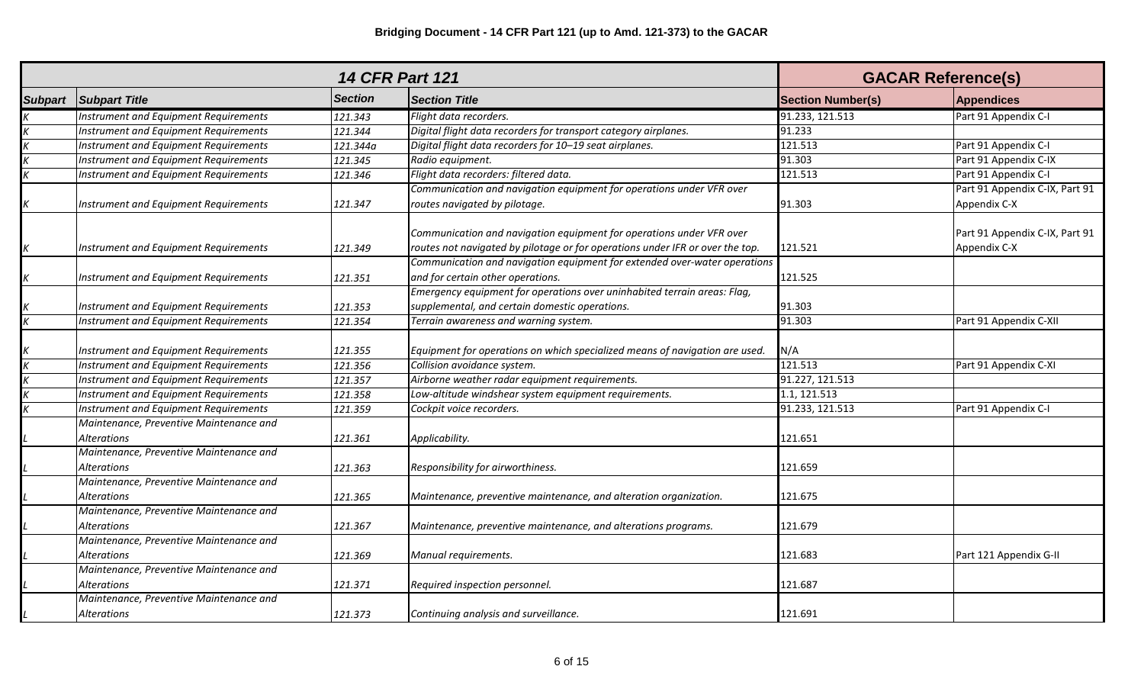|                |                                                        |                | <b>14 CFR Part 121</b>                                                                                                                                | <b>GACAR Reference(s)</b> |                                                |
|----------------|--------------------------------------------------------|----------------|-------------------------------------------------------------------------------------------------------------------------------------------------------|---------------------------|------------------------------------------------|
| <b>Subpart</b> | <b>Subpart Title</b>                                   | <b>Section</b> | <b>Section Title</b>                                                                                                                                  | <b>Section Number(s)</b>  | <b>Appendices</b>                              |
|                | Instrument and Equipment Requirements                  | 121.343        | Flight data recorders.                                                                                                                                | 91.233, 121.513           | Part 91 Appendix C-I                           |
|                | Instrument and Equipment Requirements                  | 121.344        | Digital flight data recorders for transport category airplanes.                                                                                       | 91.233                    |                                                |
|                | Instrument and Equipment Requirements                  | 121.344a       | Digital flight data recorders for 10-19 seat airplanes.                                                                                               | 121.513                   | Part 91 Appendix C-I                           |
|                | Instrument and Equipment Requirements                  | 121.345        | Radio equipment.                                                                                                                                      | 91.303                    | Part 91 Appendix C-IX                          |
| К              | Instrument and Equipment Requirements                  | 121.346        | Flight data recorders: filtered data.                                                                                                                 | 121.513                   | Part 91 Appendix C-I                           |
|                |                                                        |                | Communication and navigation equipment for operations under VFR over                                                                                  |                           | Part 91 Appendix C-IX, Part 91                 |
| K              | Instrument and Equipment Requirements                  | 121.347        | routes navigated by pilotage.                                                                                                                         | 91.303                    | Appendix C-X                                   |
| K              | Instrument and Equipment Requirements                  | 121.349        | Communication and navigation equipment for operations under VFR over<br>routes not navigated by pilotage or for operations under IFR or over the top. | 121.521                   | Part 91 Appendix C-IX, Part 91<br>Appendix C-X |
|                |                                                        |                | Communication and navigation equipment for extended over-water operations                                                                             |                           |                                                |
|                | Instrument and Equipment Requirements                  | 121.351        | and for certain other operations.                                                                                                                     | 121.525                   |                                                |
|                |                                                        |                | Emergency equipment for operations over uninhabited terrain areas: Flag,                                                                              |                           |                                                |
|                | Instrument and Equipment Requirements                  | 121.353        | supplemental, and certain domestic operations.                                                                                                        | 91.303                    |                                                |
|                | Instrument and Equipment Requirements                  | 121.354        | Terrain awareness and warning system.                                                                                                                 | 91.303                    | Part 91 Appendix C-XII                         |
|                |                                                        |                |                                                                                                                                                       |                           |                                                |
|                | Instrument and Equipment Requirements                  | 121.355        | Equipment for operations on which specialized means of navigation are used.                                                                           | N/A                       |                                                |
|                | Instrument and Equipment Requirements                  | 121.356        | Collision avoidance system.                                                                                                                           | 121.513                   | Part 91 Appendix C-XI                          |
|                | Instrument and Equipment Requirements                  | 121.357        | Airborne weather radar equipment requirements.                                                                                                        | 91.227, 121.513           |                                                |
|                | Instrument and Equipment Requirements                  | 121.358        | Low-altitude windshear system equipment requirements.                                                                                                 | 1.1, 121.513              |                                                |
|                | Instrument and Equipment Requirements                  | 121.359        | Cockpit voice recorders.                                                                                                                              | 91.233, 121.513           | Part 91 Appendix C-I                           |
|                | Maintenance, Preventive Maintenance and                |                |                                                                                                                                                       |                           |                                                |
|                | <b>Alterations</b>                                     | 121.361        | Applicability.                                                                                                                                        | 121.651                   |                                                |
|                | Maintenance, Preventive Maintenance and                |                |                                                                                                                                                       |                           |                                                |
|                | Alterations                                            | 121.363        | Responsibility for airworthiness.                                                                                                                     | 121.659                   |                                                |
|                | Maintenance, Preventive Maintenance and                |                |                                                                                                                                                       |                           |                                                |
|                | Alterations                                            | 121.365        | Maintenance, preventive maintenance, and alteration organization.                                                                                     | 121.675                   |                                                |
|                | Maintenance, Preventive Maintenance and                |                |                                                                                                                                                       |                           |                                                |
|                | <b>Alterations</b>                                     | 121.367        | Maintenance, preventive maintenance, and alterations programs.                                                                                        | 121.679                   |                                                |
|                | Maintenance, Preventive Maintenance and                |                |                                                                                                                                                       |                           |                                                |
|                | Alterations                                            | 121.369        | Manual requirements.                                                                                                                                  | 121.683                   | Part 121 Appendix G-II                         |
|                | Maintenance, Preventive Maintenance and                |                |                                                                                                                                                       |                           |                                                |
|                | Alterations                                            | 121.371        | Required inspection personnel.                                                                                                                        | 121.687                   |                                                |
|                | Maintenance, Preventive Maintenance and<br>Alterations | 121.373        | Continuing analysis and surveillance.                                                                                                                 | 121.691                   |                                                |
|                |                                                        |                |                                                                                                                                                       |                           |                                                |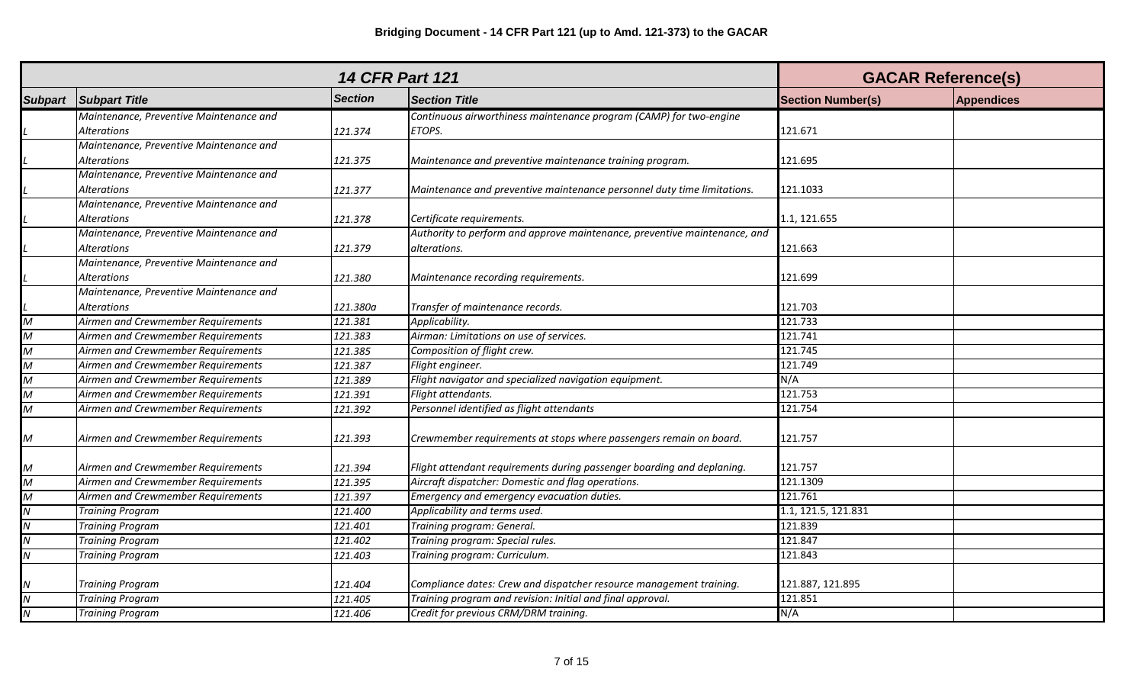|                                    | <b>14 CFR Part 121</b>                  |                |                                                                           |                          | <b>GACAR Reference(s)</b> |  |
|------------------------------------|-----------------------------------------|----------------|---------------------------------------------------------------------------|--------------------------|---------------------------|--|
| <b>Subpart</b>                     | <b>Subpart Title</b>                    | <b>Section</b> | <b>Section Title</b>                                                      | <b>Section Number(s)</b> | <b>Appendices</b>         |  |
|                                    | Maintenance, Preventive Maintenance and |                | Continuous airworthiness maintenance program (CAMP) for two-engine        |                          |                           |  |
|                                    | Alterations                             | 121.374        | ETOPS.                                                                    | 121.671                  |                           |  |
|                                    | Maintenance, Preventive Maintenance and |                |                                                                           |                          |                           |  |
|                                    | <b>Alterations</b>                      | 121.375        | Maintenance and preventive maintenance training program.                  | 121.695                  |                           |  |
|                                    | Maintenance, Preventive Maintenance and |                |                                                                           |                          |                           |  |
|                                    | <b>Alterations</b>                      | 121.377        | Maintenance and preventive maintenance personnel duty time limitations.   | 121.1033                 |                           |  |
|                                    | Maintenance, Preventive Maintenance and |                |                                                                           |                          |                           |  |
|                                    | <b>Alterations</b>                      | 121.378        | Certificate requirements.                                                 | 1.1, 121.655             |                           |  |
|                                    | Maintenance, Preventive Maintenance and |                | Authority to perform and approve maintenance, preventive maintenance, and |                          |                           |  |
|                                    | <b>Alterations</b>                      | 121.379        | alterations.                                                              | 121.663                  |                           |  |
|                                    | Maintenance, Preventive Maintenance and |                |                                                                           |                          |                           |  |
|                                    | <b>Alterations</b>                      | 121.380        | Maintenance recording requirements.                                       | 121.699                  |                           |  |
|                                    | Maintenance, Preventive Maintenance and |                |                                                                           |                          |                           |  |
|                                    | <b>Alterations</b>                      | 121.380a       | Transfer of maintenance records.                                          | 121.703                  |                           |  |
| $\overline{M}$                     | Airmen and Crewmember Requirements      | 121.381        | Applicability.                                                            | 121.733                  |                           |  |
| $\overline{M}$                     | Airmen and Crewmember Requirements      | 121.383        | Airman: Limitations on use of services.                                   | 121.741                  |                           |  |
| $\overline{M}$                     | Airmen and Crewmember Requirements      | 121.385        | Composition of flight crew.                                               | 121.745                  |                           |  |
| $\overline{M}$                     | Airmen and Crewmember Requirements      | 121.387        | Flight engineer.                                                          | 121.749                  |                           |  |
| $\overline{\mathsf{M}}$            | Airmen and Crewmember Requirements      | 121.389        | Flight navigator and specialized navigation equipment.                    | N/A                      |                           |  |
| $\overline{\mathsf{M}}$            | Airmen and Crewmember Requirements      | 121.391        | Flight attendants.                                                        | 121.753                  |                           |  |
| $\overline{M}$                     | Airmen and Crewmember Requirements      | 121.392        | Personnel identified as flight attendants                                 | 121.754                  |                           |  |
| $\boldsymbol{M}$                   | Airmen and Crewmember Requirements      | 121.393        | Crewmember requirements at stops where passengers remain on board.        | 121.757                  |                           |  |
| M                                  | Airmen and Crewmember Requirements      | 121.394        | Flight attendant requirements during passenger boarding and deplaning.    | 121.757                  |                           |  |
| $\overline{\mathsf{M}}$            | Airmen and Crewmember Requirements      | 121.395        | Aircraft dispatcher: Domestic and flag operations.                        | 121.1309                 |                           |  |
| $\overline{M}$                     | Airmen and Crewmember Requirements      | 121.397        | Emergency and emergency evacuation duties.                                | 121.761                  |                           |  |
| $\overline{\overline{N}}$          | <b>Training Program</b>                 | 121.400        | Applicability and terms used.                                             | 1.1, 121.5, 121.831      |                           |  |
| $\overline{N}$                     | <b>Training Program</b>                 | 121.401        | Training program: General.                                                | 121.839                  |                           |  |
| $\overline{\mathsf{N}}$            | <b>Training Program</b>                 | 121.402        | Training program: Special rules.                                          | 121.847                  |                           |  |
| $\overline{\mathsf{N}}$            | <b>Training Program</b>                 | 121.403        | Training program: Curriculum.                                             | 121.843                  |                           |  |
|                                    |                                         |                |                                                                           |                          |                           |  |
| $\boldsymbol{N}$                   | <b>Training Program</b>                 | 121.404        | Compliance dates: Crew and dispatcher resource management training.       | 121.887, 121.895         |                           |  |
| $\overline{N}$                     | <b>Training Program</b>                 | 121.405        | Training program and revision: Initial and final approval.                | 121.851                  |                           |  |
| $\overline{\overline{\mathsf{N}}}$ | <b>Training Program</b>                 | 121.406        | Credit for previous CRM/DRM training.                                     | N/A                      |                           |  |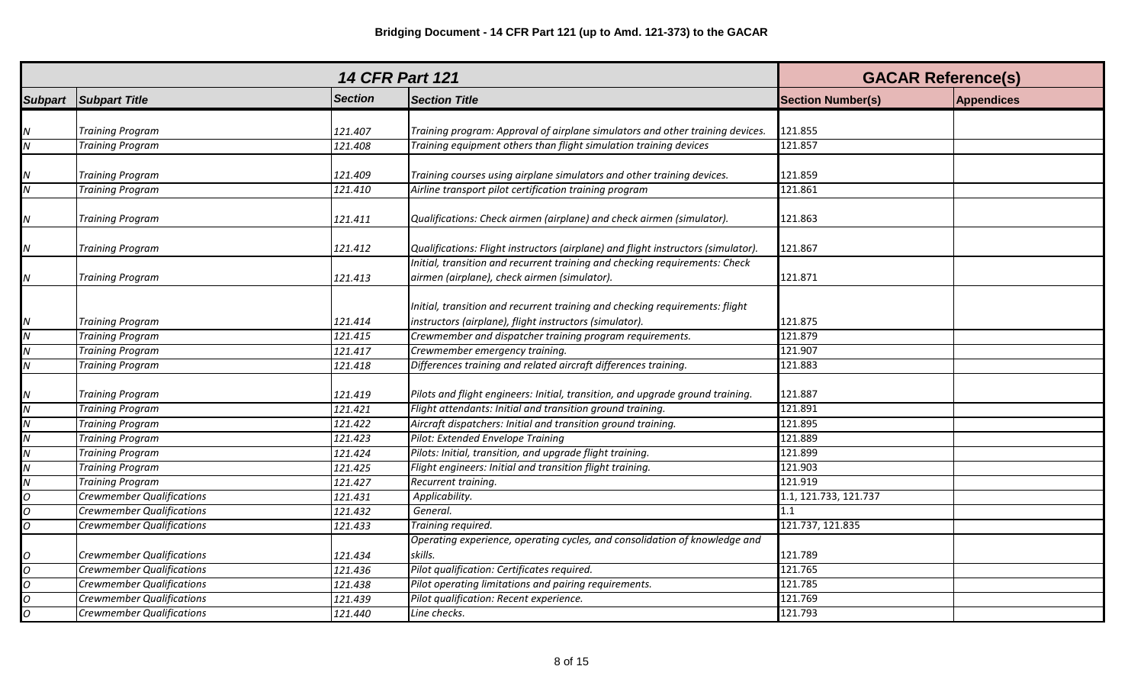| <b>14 CFR Part 121</b> |                                  |                |                                                                                                                                         | <b>GACAR Reference(s)</b> |                   |
|------------------------|----------------------------------|----------------|-----------------------------------------------------------------------------------------------------------------------------------------|---------------------------|-------------------|
| <b>Subpart</b>         | <b>Subpart Title</b>             | <b>Section</b> | <b>Section Title</b>                                                                                                                    | <b>Section Number(s)</b>  | <b>Appendices</b> |
|                        |                                  |                |                                                                                                                                         |                           |                   |
| Ν                      | <b>Training Program</b>          | 121.407        | Training program: Approval of airplane simulators and other training devices.                                                           | 121.855                   |                   |
| Ν                      | <b>Training Program</b>          | 121.408        | Training equipment others than flight simulation training devices                                                                       | 121.857                   |                   |
| N                      | <b>Training Program</b>          | 121.409        | Training courses using airplane simulators and other training devices.                                                                  | 121.859                   |                   |
| N                      | <b>Training Program</b>          | 121.410        | Airline transport pilot certification training program                                                                                  | 121.861                   |                   |
| Ν                      | <b>Training Program</b>          | 121.411        | Qualifications: Check airmen (airplane) and check airmen (simulator).                                                                   | 121.863                   |                   |
| Ν                      | <b>Training Program</b>          | 121.412        | Qualifications: Flight instructors (airplane) and flight instructors (simulator).                                                       | 121.867                   |                   |
|                        |                                  |                | Initial, transition and recurrent training and checking requirements: Check                                                             |                           |                   |
| N                      | <b>Training Program</b>          | 121.413        | airmen (airplane), check airmen (simulator).                                                                                            | 121.871                   |                   |
| Ν                      | <b>Training Program</b>          | 121.414        | Initial, transition and recurrent training and checking requirements: flight<br>instructors (airplane), flight instructors (simulator). | 121.875                   |                   |
| Ν                      | <b>Training Program</b>          | 121.415        | Crewmember and dispatcher training program requirements.                                                                                | 121.879                   |                   |
| Ν                      | <b>Training Program</b>          | 121.417        | Crewmember emergency training.                                                                                                          | 121.907                   |                   |
| N                      | <b>Training Program</b>          | 121.418        | Differences training and related aircraft differences training.                                                                         | 121.883                   |                   |
|                        | <b>Training Program</b>          | 121.419        | Pilots and flight engineers: Initial, transition, and upgrade ground training.                                                          | 121.887                   |                   |
| Ν                      | <b>Training Program</b>          | 121.421        | Flight attendants: Initial and transition ground training.                                                                              | 121.891                   |                   |
| Ν                      | <b>Training Program</b>          | 121.422        | Aircraft dispatchers: Initial and transition ground training.                                                                           | 121.895                   |                   |
| N                      | <b>Training Program</b>          | 121.423        | Pilot: Extended Envelope Training                                                                                                       | 121.889                   |                   |
| N                      | <b>Training Program</b>          | 121.424        | Pilots: Initial, transition, and upgrade flight training.                                                                               | 121.899                   |                   |
| N                      | <b>Training Program</b>          | 121.425        | Flight engineers: Initial and transition flight training.                                                                               | 121.903                   |                   |
| N                      | <b>Training Program</b>          | 121.427        | Recurrent training.                                                                                                                     | 121.919                   |                   |
| O                      | <b>Crewmember Qualifications</b> | 121.431        | Applicability.                                                                                                                          | 1.1, 121.733, 121.737     |                   |
| O                      | <b>Crewmember Qualifications</b> | 121.432        | General.                                                                                                                                | 1.1                       |                   |
| 0                      | <b>Crewmember Qualifications</b> | 121.433        | Training required.                                                                                                                      | 121.737, 121.835          |                   |
|                        | <b>Crewmember Qualifications</b> | 121.434        | Operating experience, operating cycles, and consolidation of knowledge and<br>skills.                                                   | 121.789                   |                   |
| $\Omega$               | <b>Crewmember Qualifications</b> | 121.436        | Pilot qualification: Certificates required.                                                                                             | 121.765                   |                   |
| $\Omega$               | <b>Crewmember Qualifications</b> | 121.438        | Pilot operating limitations and pairing requirements.                                                                                   | 121.785                   |                   |
| $\Omega$               | <b>Crewmember Qualifications</b> | 121.439        | Pilot qualification: Recent experience.                                                                                                 | 121.769                   |                   |
| $\Omega$               | <b>Crewmember Qualifications</b> | 121.440        | Line checks.                                                                                                                            | 121.793                   |                   |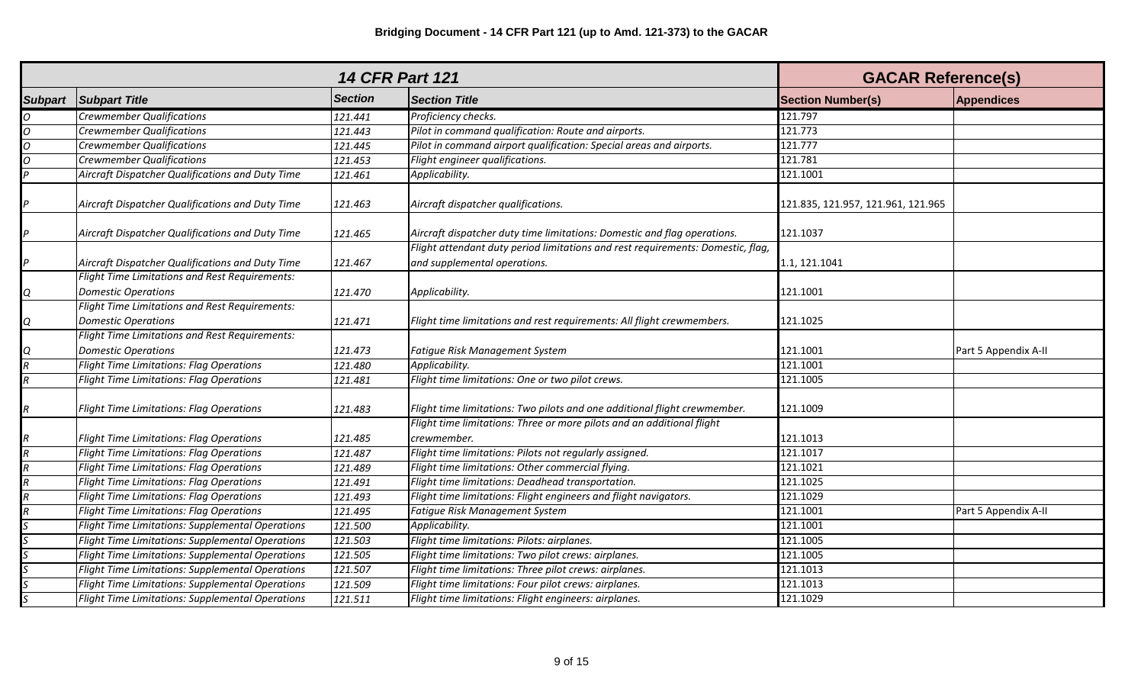| <b>14 CFR Part 121</b> |                                                                                     |                |                                                                                                                 | <b>GACAR Reference(s)</b>          |                      |
|------------------------|-------------------------------------------------------------------------------------|----------------|-----------------------------------------------------------------------------------------------------------------|------------------------------------|----------------------|
| <b>Subpart</b>         | <b>Subpart Title</b>                                                                | <b>Section</b> | <b>Section Title</b>                                                                                            | <b>Section Number(s)</b>           | <b>Appendices</b>    |
| $\Omega$               | <b>Crewmember Qualifications</b>                                                    | 121.441        | Proficiency checks.                                                                                             | 121.797                            |                      |
| $\Omega$               | <b>Crewmember Qualifications</b>                                                    | 121.443        | Pilot in command qualification: Route and airports.                                                             | 121.773                            |                      |
| $\Omega$               | <b>Crewmember Qualifications</b>                                                    | 121.445        | Pilot in command airport qualification: Special areas and airports.                                             | 121.777                            |                      |
| $\Omega$               | <b>Crewmember Qualifications</b>                                                    | 121.453        | Flight engineer qualifications.                                                                                 | 121.781                            |                      |
|                        | Aircraft Dispatcher Qualifications and Duty Time                                    | 121.461        | Applicability.                                                                                                  | 121.1001                           |                      |
|                        | Aircraft Dispatcher Qualifications and Duty Time                                    | 121.463        | Aircraft dispatcher qualifications.                                                                             | 121.835, 121.957, 121.961, 121.965 |                      |
|                        | Aircraft Dispatcher Qualifications and Duty Time                                    | 121.465        | Aircraft dispatcher duty time limitations: Domestic and flag operations.                                        | 121.1037                           |                      |
| D                      | Aircraft Dispatcher Qualifications and Duty Time                                    | 121.467        | Flight attendant duty period limitations and rest requirements: Domestic, flag,<br>and supplemental operations. | 1.1, 121.1041                      |                      |
| Q                      | <b>Flight Time Limitations and Rest Requirements:</b><br><b>Domestic Operations</b> | 121.470        | Applicability.                                                                                                  | 121.1001                           |                      |
| Q                      | Flight Time Limitations and Rest Requirements:<br><b>Domestic Operations</b>        | 121.471        | Flight time limitations and rest requirements: All flight crewmembers.                                          | 121.1025                           |                      |
|                        | Flight Time Limitations and Rest Requirements:                                      |                |                                                                                                                 |                                    |                      |
| Ο                      | <b>Domestic Operations</b>                                                          | 121.473        | Fatigue Risk Management System                                                                                  | 121.1001                           | Part 5 Appendix A-II |
|                        | <b>Flight Time Limitations: Flag Operations</b>                                     | 121.480        | Applicability.                                                                                                  | 121.1001                           |                      |
| R                      | <b>Flight Time Limitations: Flag Operations</b>                                     | 121.481        | Flight time limitations: One or two pilot crews.                                                                | 121.1005                           |                      |
| R                      | <b>Flight Time Limitations: Flag Operations</b>                                     | 121.483        | Flight time limitations: Two pilots and one additional flight crewmember.                                       | 121.1009                           |                      |
|                        |                                                                                     |                | Flight time limitations: Three or more pilots and an additional flight                                          |                                    |                      |
|                        | Flight Time Limitations: Flag Operations                                            | 121.485        | crewmember.                                                                                                     | 121.1013                           |                      |
|                        | <b>Flight Time Limitations: Flag Operations</b>                                     | 121.487        | Flight time limitations: Pilots not regularly assigned.                                                         | 121.1017                           |                      |
|                        | <b>Flight Time Limitations: Flag Operations</b>                                     | 121.489        | Flight time limitations: Other commercial flying.                                                               | 121.1021                           |                      |
|                        | Flight Time Limitations: Flag Operations                                            | 121.491        | Flight time limitations: Deadhead transportation.                                                               | 121.1025                           |                      |
|                        | Flight Time Limitations: Flag Operations                                            | 121.493        | Flight time limitations: Flight engineers and flight navigators.                                                | 121.1029                           |                      |
|                        | <b>Flight Time Limitations: Flag Operations</b>                                     | 121.495        | Fatigue Risk Management System                                                                                  | 121.1001                           | Part 5 Appendix A-II |
|                        | <b>Flight Time Limitations: Supplemental Operations</b>                             | 121.500        | Applicability.                                                                                                  | 121.1001                           |                      |
|                        | <b>Flight Time Limitations: Supplemental Operations</b>                             | 121.503        | Flight time limitations: Pilots: airplanes.                                                                     | 121.1005                           |                      |
|                        | Flight Time Limitations: Supplemental Operations                                    | 121.505        | Flight time limitations: Two pilot crews: airplanes.                                                            | 121.1005                           |                      |
|                        | Flight Time Limitations: Supplemental Operations                                    | 121.507        | Flight time limitations: Three pilot crews: airplanes.                                                          | 121.1013                           |                      |
|                        | <b>Flight Time Limitations: Supplemental Operations</b>                             | 121.509        | Flight time limitations: Four pilot crews: airplanes.                                                           | 121.1013                           |                      |
|                        | Flight Time Limitations: Supplemental Operations                                    | 121.511        | Flight time limitations: Flight engineers: airplanes.                                                           | 121.1029                           |                      |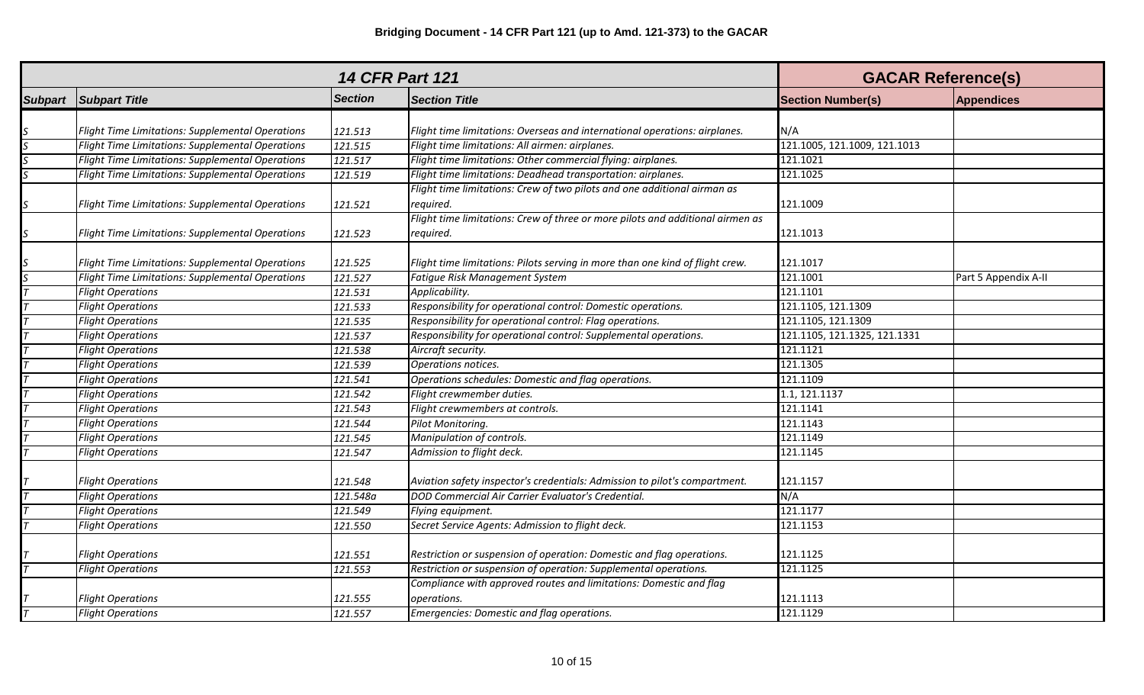|                |                                                         |                | <b>14 CFR Part 121</b>                                                         | <b>GACAR Reference(s)</b>    |                      |
|----------------|---------------------------------------------------------|----------------|--------------------------------------------------------------------------------|------------------------------|----------------------|
| <b>Subpart</b> | <b>Subpart Title</b>                                    | <b>Section</b> | <b>Section Title</b>                                                           | <b>Section Number(s)</b>     | <b>Appendices</b>    |
|                |                                                         |                |                                                                                |                              |                      |
|                | Flight Time Limitations: Supplemental Operations        | 121.513        | Flight time limitations: Overseas and international operations: airplanes.     | N/A                          |                      |
|                | <b>Flight Time Limitations: Supplemental Operations</b> | 121.515        | Flight time limitations: All airmen: airplanes.                                | 121.1005, 121.1009, 121.1013 |                      |
|                | <b>Flight Time Limitations: Supplemental Operations</b> | 121.517        | Flight time limitations: Other commercial flying: airplanes.                   | 121.1021                     |                      |
|                | <b>Flight Time Limitations: Supplemental Operations</b> | 121.519        | Flight time limitations: Deadhead transportation: airplanes.                   | 121.1025                     |                      |
|                |                                                         |                | Flight time limitations: Crew of two pilots and one additional airman as       |                              |                      |
| S              | Flight Time Limitations: Supplemental Operations        | 121.521        | required.                                                                      | 121.1009                     |                      |
|                |                                                         |                | Flight time limitations: Crew of three or more pilots and additional airmen as |                              |                      |
| S              | Flight Time Limitations: Supplemental Operations        | 121.523        | required.                                                                      | 121.1013                     |                      |
|                | Flight Time Limitations: Supplemental Operations        | 121.525        | Flight time limitations: Pilots serving in more than one kind of flight crew.  | 121.1017                     |                      |
|                | <b>Flight Time Limitations: Supplemental Operations</b> | 121.527        | Fatigue Risk Management System                                                 | 121.1001                     | Part 5 Appendix A-II |
|                | <b>Flight Operations</b>                                | 121.531        | Applicability.                                                                 | 121.1101                     |                      |
|                | <b>Flight Operations</b>                                | 121.533        | Responsibility for operational control: Domestic operations.                   | 121.1105, 121.1309           |                      |
|                | <b>Flight Operations</b>                                | 121.535        | Responsibility for operational control: Flag operations.                       | 121.1105, 121.1309           |                      |
|                | <b>Flight Operations</b>                                | 121.537        | Responsibility for operational control: Supplemental operations.               | 121.1105, 121.1325, 121.1331 |                      |
|                | <b>Flight Operations</b>                                | 121.538        | Aircraft security.                                                             | 121.1121                     |                      |
|                | <b>Flight Operations</b>                                | 121.539        | Operations notices.                                                            | 121.1305                     |                      |
|                | <b>Flight Operations</b>                                | 121.541        | Operations schedules: Domestic and flag operations.                            | 121.1109                     |                      |
|                | <b>Flight Operations</b>                                | 121.542        | Flight crewmember duties.                                                      | 1.1, 121.1137                |                      |
|                | <b>Flight Operations</b>                                | 121.543        | Flight crewmembers at controls.                                                | 121.1141                     |                      |
|                | <b>Flight Operations</b>                                | 121.544        | Pilot Monitoring.                                                              | 121.1143                     |                      |
|                | <b>Flight Operations</b>                                | 121.545        | Manipulation of controls.                                                      | 121.1149                     |                      |
|                | <b>Flight Operations</b>                                | 121.547        | Admission to flight deck.                                                      | 121.1145                     |                      |
|                |                                                         |                |                                                                                |                              |                      |
|                | <b>Flight Operations</b>                                | 121.548        | Aviation safety inspector's credentials: Admission to pilot's compartment.     | 121.1157                     |                      |
|                | <b>Flight Operations</b>                                | 121.548a       | DOD Commercial Air Carrier Evaluator's Credential.                             | N/A                          |                      |
|                | <b>Flight Operations</b>                                | 121.549        | Flying equipment.                                                              | 121.1177                     |                      |
|                | <b>Flight Operations</b>                                | 121.550        | Secret Service Agents: Admission to flight deck.                               | 121.1153                     |                      |
|                |                                                         |                |                                                                                |                              |                      |
|                | <b>Flight Operations</b>                                | 121.551        | Restriction or suspension of operation: Domestic and flag operations.          | 121.1125                     |                      |
|                | <b>Flight Operations</b>                                | 121.553        | Restriction or suspension of operation: Supplemental operations.               | 121.1125                     |                      |
|                |                                                         |                | Compliance with approved routes and limitations: Domestic and flag             |                              |                      |
|                | <b>Flight Operations</b>                                | 121.555        | operations.                                                                    | 121.1113                     |                      |
|                | <b>Flight Operations</b>                                | 121.557        | Emergencies: Domestic and flag operations.                                     | 121.1129                     |                      |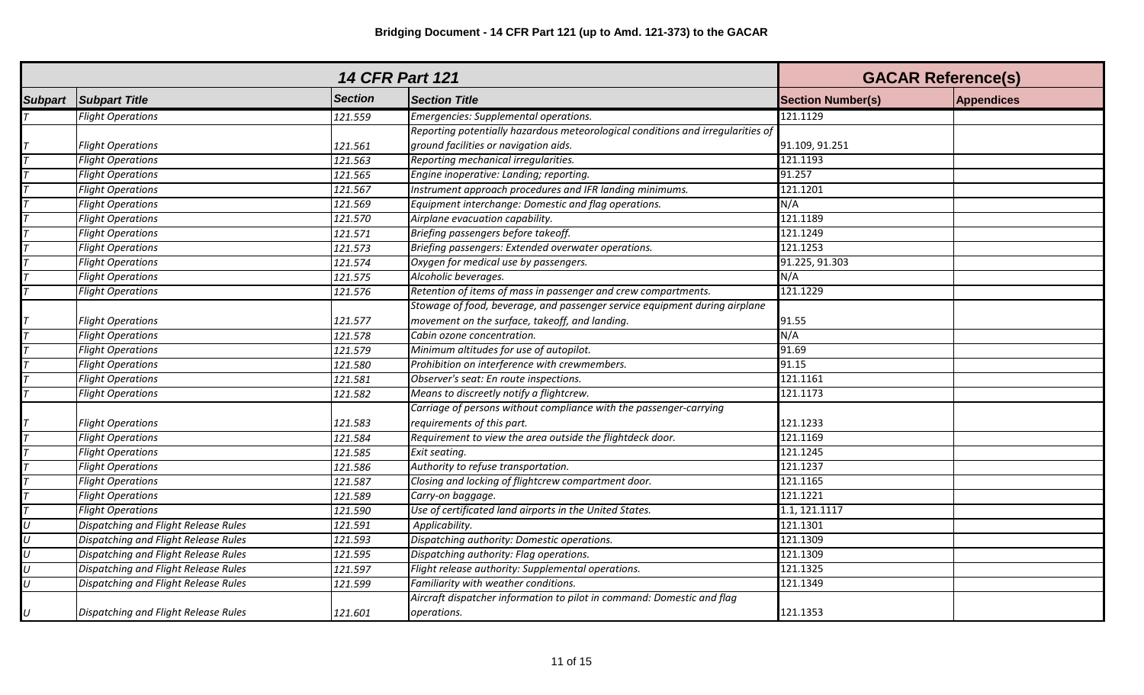| <b>14 CFR Part 121</b> |                                      |                      |                                                                                 | <b>GACAR Reference(s)</b> |                   |
|------------------------|--------------------------------------|----------------------|---------------------------------------------------------------------------------|---------------------------|-------------------|
| <b>Subpart</b>         | <b>Subpart Title</b>                 | <b>Section</b>       | <b>Section Title</b>                                                            | <b>Section Number(s)</b>  | <b>Appendices</b> |
|                        | <b>Flight Operations</b>             | 121.559              | Emergencies: Supplemental operations.                                           | 121.1129                  |                   |
|                        |                                      |                      | Reporting potentially hazardous meteorological conditions and irregularities of |                           |                   |
|                        | <b>Flight Operations</b>             | 121.561              | ground facilities or navigation aids.                                           | 91.109, 91.251            |                   |
|                        | <b>Flight Operations</b>             | 121.563              | Reporting mechanical irregularities.                                            | 121.1193                  |                   |
|                        | <b>Flight Operations</b>             | 121.565              | Engine inoperative: Landing; reporting.                                         | 91.257                    |                   |
|                        | <b>Flight Operations</b>             | 121.567              | Instrument approach procedures and IFR landing minimums.                        | 121.1201                  |                   |
|                        | <b>Flight Operations</b>             | 121.569              | Equipment interchange: Domestic and flag operations.                            | N/A                       |                   |
|                        | <b>Flight Operations</b>             | 121.570              | Airplane evacuation capability.                                                 | 121.1189                  |                   |
|                        | <b>Flight Operations</b>             | 121.571              | Briefing passengers before takeoff.                                             | 121.1249                  |                   |
|                        | <b>Flight Operations</b>             | 121.573              | Briefing passengers: Extended overwater operations.                             | 121.1253                  |                   |
|                        | <b>Flight Operations</b>             | 121.574              | Oxygen for medical use by passengers.                                           | 91.225, 91.303            |                   |
|                        | <b>Flight Operations</b>             | 121.575              | Alcoholic beverages.                                                            | N/A                       |                   |
|                        | <b>Flight Operations</b>             | 121.576              | Retention of items of mass in passenger and crew compartments.                  | 121.1229                  |                   |
|                        |                                      |                      | Stowage of food, beverage, and passenger service equipment during airplane      |                           |                   |
|                        | <b>Flight Operations</b>             | 121.577              | movement on the surface, takeoff, and landing.                                  | 91.55                     |                   |
|                        | <b>Flight Operations</b>             | 121.578              | Cabin ozone concentration.                                                      | N/A                       |                   |
|                        | <b>Flight Operations</b>             | 121.579              | Minimum altitudes for use of autopilot.                                         | 91.69                     |                   |
|                        | <b>Flight Operations</b>             | 121.580              | Prohibition on interference with crewmembers.                                   | 91.15                     |                   |
|                        | <b>Flight Operations</b>             | 121.581              | Observer's seat: En route inspections.                                          | 121.1161                  |                   |
|                        | <b>Flight Operations</b>             | 121.582              | Means to discreetly notify a flightcrew.                                        | 121.1173                  |                   |
|                        |                                      |                      | Carriage of persons without compliance with the passenger-carrying              |                           |                   |
|                        | <b>Flight Operations</b>             | 121.583              | requirements of this part.                                                      | 121.1233                  |                   |
|                        | <b>Flight Operations</b>             | 121.584              | Requirement to view the area outside the flightdeck door.                       | 121.1169                  |                   |
|                        | <b>Flight Operations</b>             | 121.585              | Exit seating.                                                                   | 121.1245                  |                   |
|                        | <b>Flight Operations</b>             | 121.586              | Authority to refuse transportation.                                             | 121.1237                  |                   |
|                        | <b>Flight Operations</b>             | 121.587              | Closing and locking of flightcrew compartment door.                             | 121.1165                  |                   |
|                        | <b>Flight Operations</b>             | 121.589              | Carry-on baggage.                                                               | 121.1221                  |                   |
|                        | <b>Flight Operations</b>             | 121.590              | Use of certificated land airports in the United States.                         | 1.1, 121.1117             |                   |
| U                      | Dispatching and Flight Release Rules | 121.591              | Applicability.                                                                  | 121.1301                  |                   |
| U                      | Dispatching and Flight Release Rules | 121.593              | Dispatching authority: Domestic operations.                                     | 121.1309                  |                   |
| $\iota$                | Dispatching and Flight Release Rules | 121.595              | Dispatching authority: Flag operations.                                         | 121.1309                  |                   |
| U                      | Dispatching and Flight Release Rules | $\overline{121.597}$ | Flight release authority: Supplemental operations.                              | 121.1325                  |                   |
| $\overline{U}$         | Dispatching and Flight Release Rules | 121.599              | Familiarity with weather conditions.                                            | 121.1349                  |                   |
|                        |                                      |                      | Aircraft dispatcher information to pilot in command: Domestic and flag          |                           |                   |
| U                      | Dispatching and Flight Release Rules | 121.601              | operations.                                                                     | 121.1353                  |                   |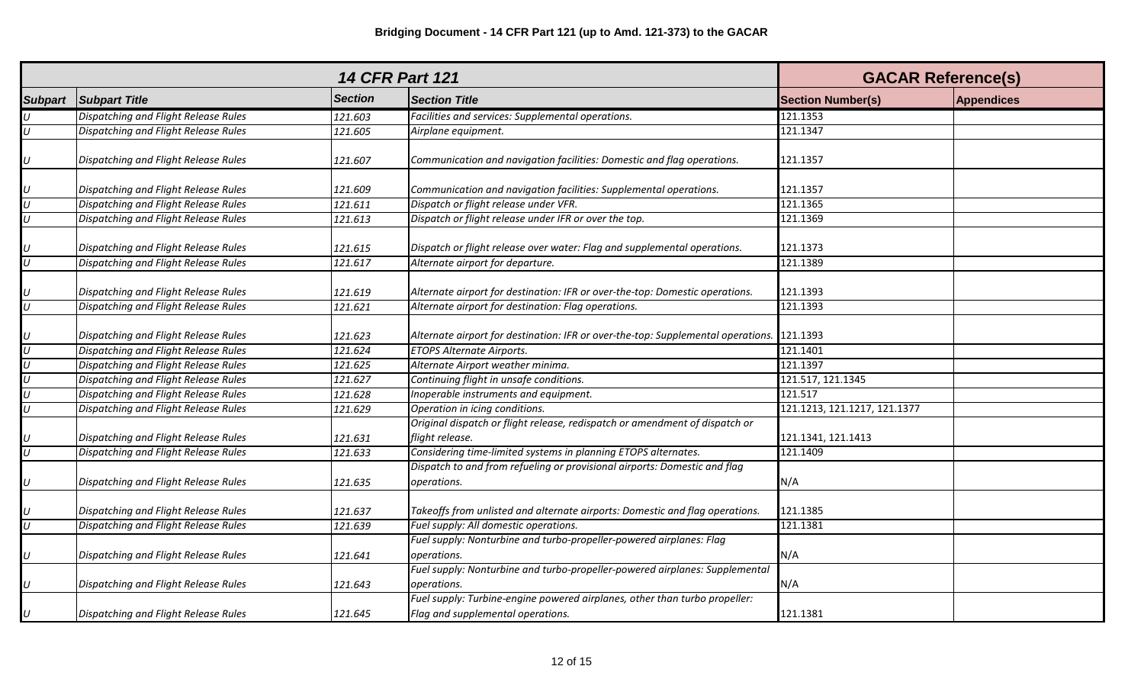| <b>14 CFR Part 121</b>  |                                      |                |                                                                                                                 | <b>GACAR Reference(s)</b>    |                   |
|-------------------------|--------------------------------------|----------------|-----------------------------------------------------------------------------------------------------------------|------------------------------|-------------------|
| <b>Subpart</b>          | <b>Subpart Title</b>                 | <b>Section</b> | <b>Section Title</b>                                                                                            | <b>Section Number(s)</b>     | <b>Appendices</b> |
| $\boldsymbol{U}$        | Dispatching and Flight Release Rules | 121.603        | Facilities and services: Supplemental operations.                                                               | 121.1353                     |                   |
| $\overline{U}$          | Dispatching and Flight Release Rules | 121.605        | Airplane equipment.                                                                                             | 121.1347                     |                   |
|                         |                                      |                |                                                                                                                 |                              |                   |
| $\cup$                  | Dispatching and Flight Release Rules | 121.607        | Communication and navigation facilities: Domestic and flag operations.                                          | 121.1357                     |                   |
|                         | Dispatching and Flight Release Rules | 121.609        | Communication and navigation facilities: Supplemental operations.                                               | 121.1357                     |                   |
| $\frac{1}{2}$           | Dispatching and Flight Release Rules | 121.611        | Dispatch or flight release under VFR.                                                                           | 121.1365                     |                   |
|                         | Dispatching and Flight Release Rules | 121.613        | Dispatch or flight release under IFR or over the top.                                                           | 121.1369                     |                   |
|                         | Dispatching and Flight Release Rules | 121.615        | Dispatch or flight release over water: Flag and supplemental operations.                                        | 121.1373                     |                   |
| $\frac{1}{2}$           | Dispatching and Flight Release Rules | 121.617        | Alternate airport for departure.                                                                                | 121.1389                     |                   |
|                         | Dispatching and Flight Release Rules | 121.619        | Alternate airport for destination: IFR or over-the-top: Domestic operations.                                    | 121.1393                     |                   |
| $\frac{U}{U}$           | Dispatching and Flight Release Rules | 121.621        | Alternate airport for destination: Flag operations.                                                             | 121.1393                     |                   |
| $\frac{U}{U}$           | Dispatching and Flight Release Rules | 121.623        | Alternate airport for destination: IFR or over-the-top: Supplemental operations.                                | 121.1393                     |                   |
|                         | Dispatching and Flight Release Rules | 121.624        | <b>ETOPS Alternate Airports.</b>                                                                                | 121.1401                     |                   |
| $\overline{\mathsf{U}}$ | Dispatching and Flight Release Rules | 121.625        | Alternate Airport weather minima.                                                                               | 121.1397                     |                   |
| $\overline{U}$          | Dispatching and Flight Release Rules | 121.627        | Continuing flight in unsafe conditions.                                                                         | 121.517, 121.1345            |                   |
| $\overline{U}$          | Dispatching and Flight Release Rules | 121.628        | Inoperable instruments and equipment.                                                                           | 121.517                      |                   |
| $\boldsymbol{U}$        | Dispatching and Flight Release Rules | 121.629        | Operation in icing conditions.                                                                                  | 121.1213, 121.1217, 121.1377 |                   |
| $\frac{U}{U}$           | Dispatching and Flight Release Rules | 121.631        | Original dispatch or flight release, redispatch or amendment of dispatch or<br>flight release.                  | 121.1341, 121.1413           |                   |
|                         | Dispatching and Flight Release Rules | 121.633        | Considering time-limited systems in planning ETOPS alternates.                                                  | 121.1409                     |                   |
| $\cup$                  | Dispatching and Flight Release Rules | 121.635        | Dispatch to and from refueling or provisional airports: Domestic and flag<br>operations.                        | N/A                          |                   |
| $\frac{U}{U}$           | Dispatching and Flight Release Rules | 121.637        | Takeoffs from unlisted and alternate airports: Domestic and flag operations.                                    | 121.1385                     |                   |
|                         | Dispatching and Flight Release Rules | 121.639        | Fuel supply: All domestic operations.                                                                           | 121.1381                     |                   |
| $\cup$                  | Dispatching and Flight Release Rules | 121.641        | Fuel supply: Nonturbine and turbo-propeller-powered airplanes: Flag<br>operations.                              | N/A                          |                   |
|                         |                                      |                | Fuel supply: Nonturbine and turbo-propeller-powered airplanes: Supplemental                                     |                              |                   |
| U                       | Dispatching and Flight Release Rules | 121.643        | operations.                                                                                                     | N/A                          |                   |
| $\boldsymbol{U}$        | Dispatching and Flight Release Rules | 121.645        | Fuel supply: Turbine-engine powered airplanes, other than turbo propeller:<br>Flag and supplemental operations. | 121.1381                     |                   |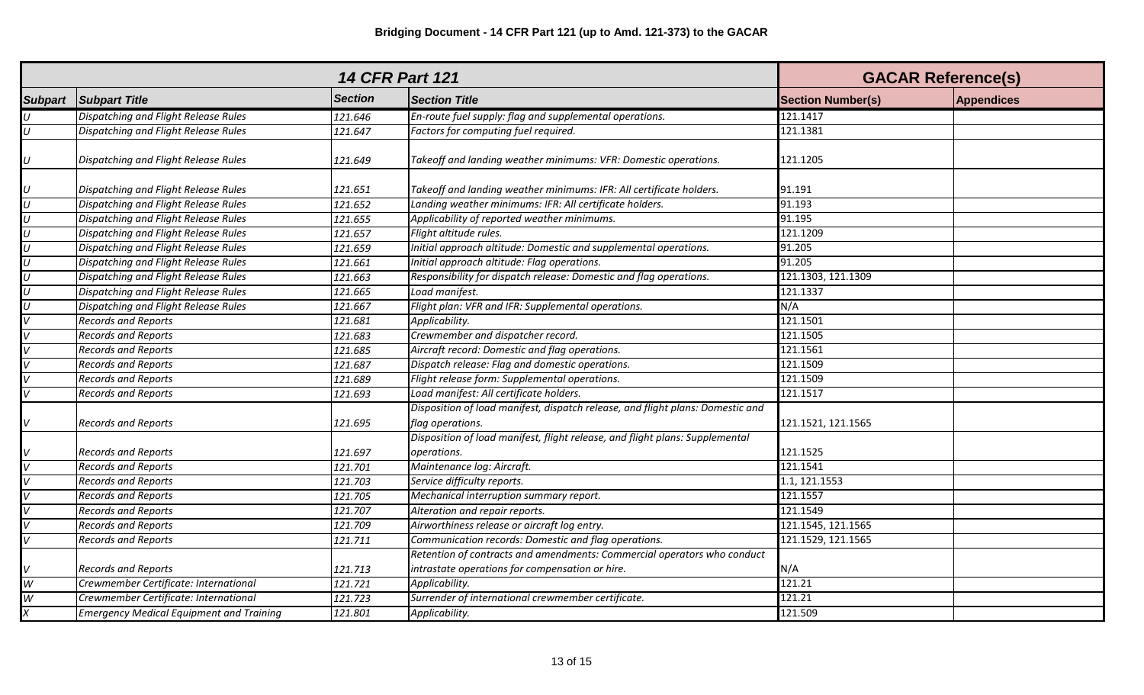|                           |                                                 | <b>GACAR Reference(s)</b> |                                                                                                    |                          |                   |
|---------------------------|-------------------------------------------------|---------------------------|----------------------------------------------------------------------------------------------------|--------------------------|-------------------|
| <b>Subpart</b>            | <b>Subpart Title</b>                            | <b>Section</b>            | <b>Section Title</b>                                                                               | <b>Section Number(s)</b> | <b>Appendices</b> |
| $\boldsymbol{\mathsf{U}}$ | Dispatching and Flight Release Rules            | 121.646                   | En-route fuel supply: flag and supplemental operations.                                            | 121.1417                 |                   |
| $\overline{U}$            | Dispatching and Flight Release Rules            | 121.647                   | Factors for computing fuel required.                                                               | 121.1381                 |                   |
| $\boldsymbol{U}$          | Dispatching and Flight Release Rules            | 121.649                   | Takeoff and landing weather minimums: VFR: Domestic operations.                                    | 121.1205                 |                   |
| $\frac{U}{U}$             | Dispatching and Flight Release Rules            | 121.651                   | Takeoff and landing weather minimums: IFR: All certificate holders.                                | 91.191                   |                   |
|                           | Dispatching and Flight Release Rules            | 121.652                   | Landing weather minimums: IFR: All certificate holders.                                            | 91.193                   |                   |
| $\frac{U}{U}$             | Dispatching and Flight Release Rules            | 121.655                   | Applicability of reported weather minimums.                                                        | 91.195                   |                   |
|                           | <b>Dispatching and Flight Release Rules</b>     | 121.657                   | Flight altitude rules.                                                                             | 121.1209                 |                   |
| $\overline{U}$            | Dispatching and Flight Release Rules            | 121.659                   | Initial approach altitude: Domestic and supplemental operations.                                   | 91.205                   |                   |
| $\overline{U}$            | Dispatching and Flight Release Rules            | 121.661                   | Initial approach altitude: Flag operations.                                                        | 91.205                   |                   |
| $\overline{U}$            | Dispatching and Flight Release Rules            | 121.663                   | Responsibility for dispatch release: Domestic and flag operations.                                 | 121.1303, 121.1309       |                   |
| $\overline{U}$            | Dispatching and Flight Release Rules            | 121.665                   | Load manifest.                                                                                     | 121.1337                 |                   |
| $\overline{U}$            | Dispatching and Flight Release Rules            | 121.667                   | Flight plan: VFR and IFR: Supplemental operations.                                                 | N/A                      |                   |
| $\overline{\mathsf{v}}$   | <b>Records and Reports</b>                      | 121.681                   | Applicability.                                                                                     | 121.1501                 |                   |
| $\overline{\mathsf{v}}$   | <b>Records and Reports</b>                      | 121.683                   | Crewmember and dispatcher record.                                                                  | 121.1505                 |                   |
| $\overline{V}$            | <b>Records and Reports</b>                      | 121.685                   | Aircraft record: Domestic and flag operations.                                                     | 121.1561                 |                   |
| $\overline{V}$            | <b>Records and Reports</b>                      | 121.687                   | Dispatch release: Flag and domestic operations.                                                    | 121.1509                 |                   |
|                           | <b>Records and Reports</b>                      | 121.689                   | Flight release form: Supplemental operations.                                                      | 121.1509                 |                   |
| $\overline{V}$            | <b>Records and Reports</b>                      | 121.693                   | Load manifest: All certificate holders.                                                            | 121.1517                 |                   |
| V                         | <b>Records and Reports</b>                      | 121.695                   | Disposition of load manifest, dispatch release, and flight plans: Domestic and<br>flag operations. | 121.1521, 121.1565       |                   |
|                           |                                                 |                           | Disposition of load manifest, flight release, and flight plans: Supplemental                       |                          |                   |
|                           | <b>Records and Reports</b>                      | 121.697                   | operations.                                                                                        | 121.1525                 |                   |
|                           | <b>Records and Reports</b>                      | 121.701                   | Maintenance log: Aircraft.                                                                         | 121.1541                 |                   |
|                           | <b>Records and Reports</b>                      | 121.703                   | Service difficulty reports.                                                                        | 1.1, 121.1553            |                   |
|                           | <b>Records and Reports</b>                      | 121.705                   | Mechanical interruption summary report.                                                            | 121.1557                 |                   |
|                           | <b>Records and Reports</b>                      | 121.707                   | Alteration and repair reports.                                                                     | 121.1549                 |                   |
| $\overline{\mathsf{v}}$   | <b>Records and Reports</b>                      | 121.709                   | Airworthiness release or aircraft log entry.                                                       | 121.1545, 121.1565       |                   |
| $\overline{V}$            | <b>Records and Reports</b>                      | 121.711                   | Communication records: Domestic and flag operations.                                               | 121.1529, 121.1565       |                   |
|                           |                                                 |                           | Retention of contracts and amendments: Commercial operators who conduct                            |                          |                   |
| $\vee$                    | <b>Records and Reports</b>                      | 121.713                   | intrastate operations for compensation or hire.                                                    | N/A                      |                   |
| $\overline{W}$            | Crewmember Certificate: International           | 121.721                   | Applicability.                                                                                     | 121.21                   |                   |
| W                         | Crewmember Certificate: International           | 121.723                   | Surrender of international crewmember certificate.                                                 | 121.21                   |                   |
| $\overline{x}$            | <b>Emergency Medical Equipment and Training</b> | 121.801                   | Applicability.                                                                                     | 121.509                  |                   |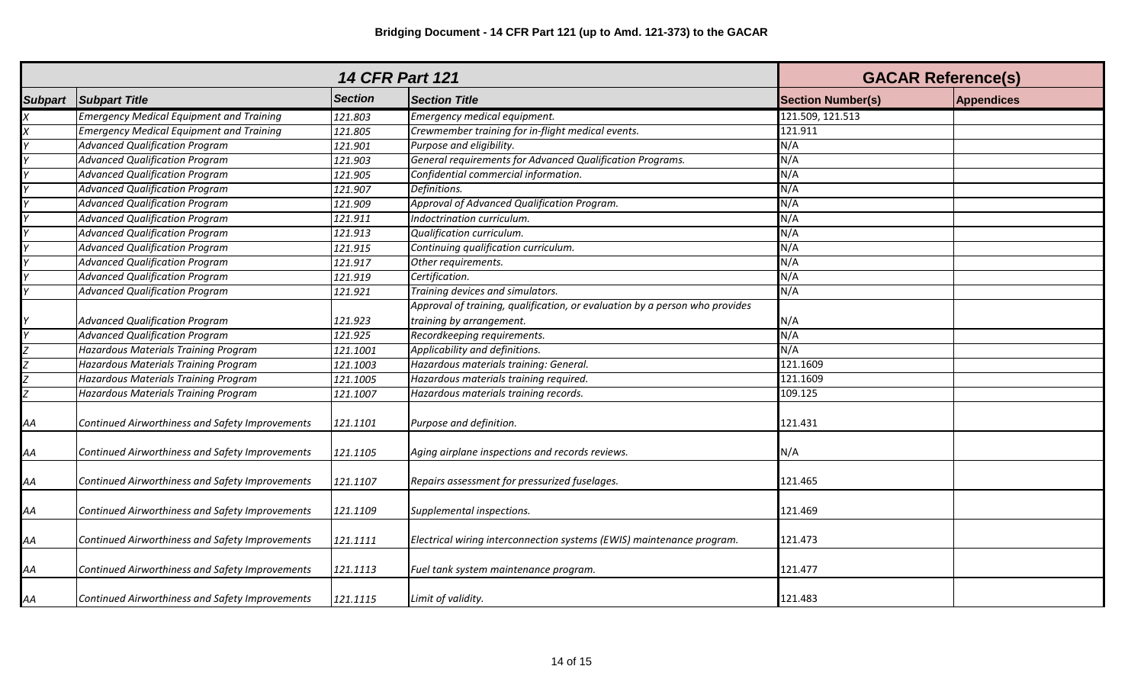| <b>14 CFR Part 121</b> |                                                 |                |                                                                             | <b>GACAR Reference(s)</b> |                   |
|------------------------|-------------------------------------------------|----------------|-----------------------------------------------------------------------------|---------------------------|-------------------|
| <b>Subpart</b>         | <b>Subpart Title</b>                            | <b>Section</b> | <b>Section Title</b>                                                        | <b>Section Number(s)</b>  | <b>Appendices</b> |
|                        | <b>Emergency Medical Equipment and Training</b> | 121.803        | Emergency medical equipment.                                                | 121.509, 121.513          |                   |
|                        | <b>Emergency Medical Equipment and Training</b> | 121.805        | Crewmember training for in-flight medical events.                           | 121.911                   |                   |
|                        | <b>Advanced Qualification Program</b>           | 121.901        | Purpose and eligibility.                                                    | N/A                       |                   |
|                        | <b>Advanced Qualification Program</b>           | 121.903        | General requirements for Advanced Qualification Programs.                   | N/A                       |                   |
|                        | <b>Advanced Qualification Program</b>           | 121.905        | Confidential commercial information.                                        | N/A                       |                   |
|                        | <b>Advanced Qualification Program</b>           | 121.907        | Definitions.                                                                | N/A                       |                   |
|                        | <b>Advanced Qualification Program</b>           | 121.909        | Approval of Advanced Qualification Program.                                 | N/A                       |                   |
|                        | <b>Advanced Qualification Program</b>           | 121.911        | Indoctrination curriculum.                                                  | N/A                       |                   |
|                        | <b>Advanced Qualification Program</b>           | 121.913        | Qualification curriculum.                                                   | N/A                       |                   |
|                        | <b>Advanced Qualification Program</b>           | 121.915        | Continuing qualification curriculum.                                        | N/A                       |                   |
|                        | <b>Advanced Qualification Program</b>           | 121.917        | Other requirements.                                                         | N/A                       |                   |
|                        | <b>Advanced Qualification Program</b>           | 121.919        | Certification.                                                              | N/A                       |                   |
|                        | <b>Advanced Qualification Program</b>           | 121.921        | Training devices and simulators.                                            | N/A                       |                   |
|                        |                                                 |                | Approval of training, qualification, or evaluation by a person who provides |                           |                   |
|                        | <b>Advanced Qualification Program</b>           | 121.923        | training by arrangement.                                                    | N/A                       |                   |
|                        | <b>Advanced Qualification Program</b>           | 121.925        | Recordkeeping requirements.                                                 | N/A                       |                   |
|                        | <b>Hazardous Materials Training Program</b>     | 121.1001       | Applicability and definitions.                                              | N/A                       |                   |
|                        | <b>Hazardous Materials Training Program</b>     | 121.1003       | Hazardous materials training: General.                                      | 121.1609                  |                   |
|                        | <b>Hazardous Materials Training Program</b>     | 121.1005       | Hazardous materials training required.                                      | 121.1609                  |                   |
| $\frac{Z}{Z}$          | Hazardous Materials Training Program            | 121.1007       | Hazardous materials training records.                                       | 109.125                   |                   |
| АA                     | Continued Airworthiness and Safety Improvements | 121.1101       | Purpose and definition.                                                     | 121.431                   |                   |
| AA                     | Continued Airworthiness and Safety Improvements | 121.1105       | Aging airplane inspections and records reviews.                             | N/A                       |                   |
| AA                     | Continued Airworthiness and Safety Improvements | 121.1107       | Repairs assessment for pressurized fuselages.                               | 121.465                   |                   |
| AA                     | Continued Airworthiness and Safety Improvements | 121.1109       | Supplemental inspections.                                                   | 121.469                   |                   |
| АA                     | Continued Airworthiness and Safety Improvements | 121.1111       | Electrical wiring interconnection systems (EWIS) maintenance program.       | 121.473                   |                   |
| AA                     | Continued Airworthiness and Safety Improvements | 121.1113       | Fuel tank system maintenance program.                                       | 121.477                   |                   |
| AA                     | Continued Airworthiness and Safety Improvements | 121.1115       | Limit of validity.                                                          | 121.483                   |                   |